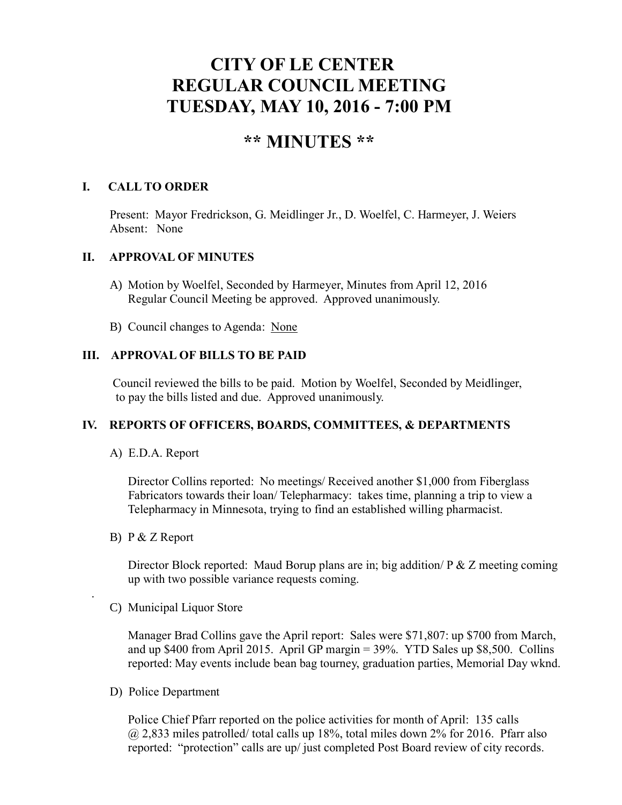# **CITY OF LE CENTER REGULAR COUNCIL MEETING TUESDAY, MAY 10, 2016 - 7:00 PM**

# **\*\* MINUTES \*\***

# **I. CALL TO ORDER**

Present: Mayor Fredrickson, G. Meidlinger Jr., D. Woelfel, C. Harmeyer, J. Weiers Absent: None

# **II. APPROVAL OF MINUTES**

- A) Motion by Woelfel, Seconded by Harmeyer, Minutes from April 12, 2016 Regular Council Meeting be approved. Approved unanimously.
- B) Council changes to Agenda: None

# **III. APPROVAL OF BILLS TO BE PAID**

Council reviewed the bills to be paid. Motion by Woelfel, Seconded by Meidlinger, to pay the bills listed and due. Approved unanimously.

#### **IV. REPORTS OF OFFICERS, BOARDS, COMMITTEES, & DEPARTMENTS**

#### A) E.D.A. Report

 Director Collins reported: No meetings/ Received another \$1,000 from Fiberglass Fabricators towards their loan/ Telepharmacy: takes time, planning a trip to view a Telepharmacy in Minnesota, trying to find an established willing pharmacist.

B) P & Z Report

.

Director Block reported: Maud Borup plans are in; big addition/ P & Z meeting coming up with two possible variance requests coming.

C) Municipal Liquor Store

Manager Brad Collins gave the April report: Sales were \$71,807: up \$700 from March, and up \$400 from April 2015. April GP margin  $=$  39%. YTD Sales up \$8,500. Collins reported: May events include bean bag tourney, graduation parties, Memorial Day wknd.

D) Police Department

Police Chief Pfarr reported on the police activities for month of April: 135 calls  $(a)$  2,833 miles patrolled/ total calls up 18%, total miles down 2% for 2016. Pfarr also reported: "protection" calls are up/ just completed Post Board review of city records.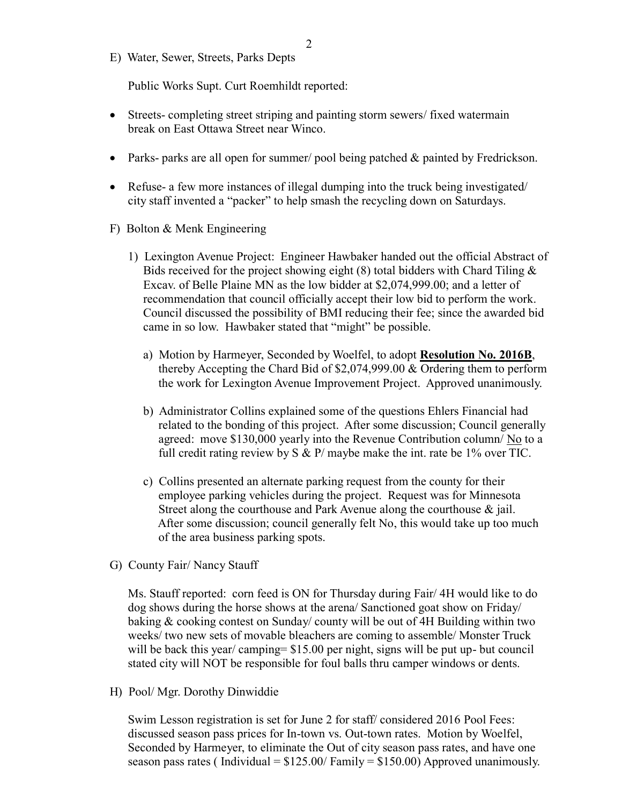E) Water, Sewer, Streets, Parks Depts

Public Works Supt. Curt Roemhildt reported:

- Streets- completing street striping and painting storm sewers/ fixed watermain break on East Ottawa Street near Winco.
- Parks- parks are all open for summer/ pool being patched  $\&$  painted by Fredrickson.
- Refuse- a few more instances of illegal dumping into the truck being investigated/ city staff invented a "packer" to help smash the recycling down on Saturdays.
- F) Bolton & Menk Engineering
	- 1) Lexington Avenue Project: Engineer Hawbaker handed out the official Abstract of Bids received for the project showing eight  $(8)$  total bidders with Chard Tiling  $\&$  Excav. of Belle Plaine MN as the low bidder at \$2,074,999.00; and a letter of recommendation that council officially accept their low bid to perform the work. Council discussed the possibility of BMI reducing their fee; since the awarded bid came in so low. Hawbaker stated that "might" be possible.
		- a) Motion by Harmeyer, Seconded by Woelfel, to adopt **Resolution No. 2016B**, thereby Accepting the Chard Bid of \$2,074,999.00 & Ordering them to perform the work for Lexington Avenue Improvement Project. Approved unanimously.
		- b) Administrator Collins explained some of the questions Ehlers Financial had related to the bonding of this project. After some discussion; Council generally agreed: move \$130,000 yearly into the Revenue Contribution column/ No to a full credit rating review by S & P/ maybe make the int. rate be 1% over TIC.
		- c) Collins presented an alternate parking request from the county for their employee parking vehicles during the project. Request was for Minnesota Street along the courthouse and Park Avenue along the courthouse & jail. After some discussion; council generally felt No, this would take up too much of the area business parking spots.
- G) County Fair/ Nancy Stauff

 Ms. Stauff reported: corn feed is ON for Thursday during Fair/ 4H would like to do dog shows during the horse shows at the arena/ Sanctioned goat show on Friday/ baking & cooking contest on Sunday/ county will be out of 4H Building within two weeks/ two new sets of movable bleachers are coming to assemble/ Monster Truck will be back this year/ camping= \$15.00 per night, signs will be put up- but council stated city will NOT be responsible for foul balls thru camper windows or dents.

H) Pool/ Mgr. Dorothy Dinwiddie

 Swim Lesson registration is set for June 2 for staff/ considered 2016 Pool Fees: discussed season pass prices for In-town vs. Out-town rates. Motion by Woelfel, Seconded by Harmeyer, to eliminate the Out of city season pass rates, and have one season pass rates (Individual =  $$125.00/ Family = $150.00$ ) Approved unanimously.